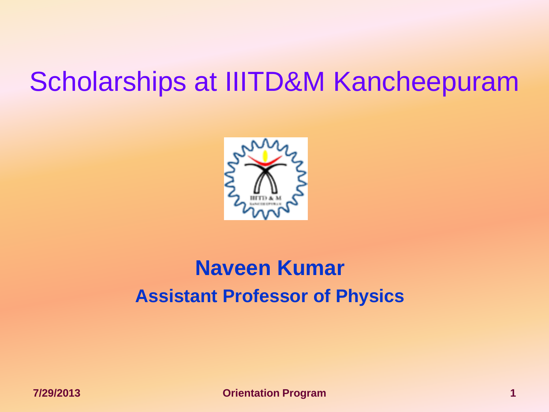# Scholarships at IIITD&M Kancheepuram



### **Naveen Kumar Assistant Professor of Physics**

**7/29/2013 Orientation Program 1**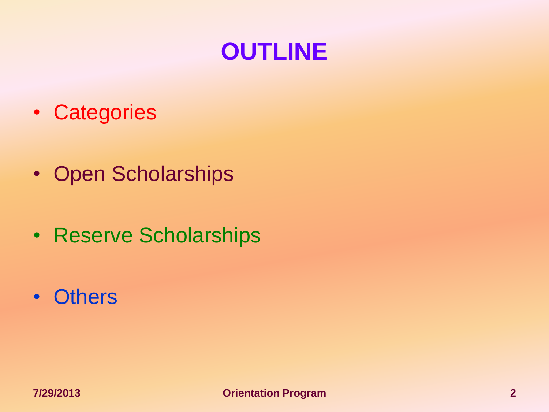### **OUTLINE**

- Categories
- Open Scholarships
- Reserve Scholarships
- Others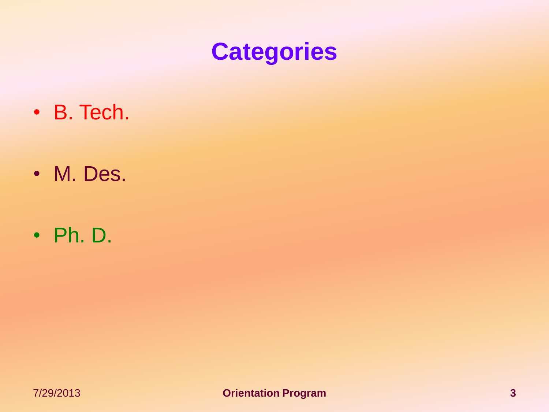## **Categories**

- B. Tech.
- M. Des.
- Ph. D.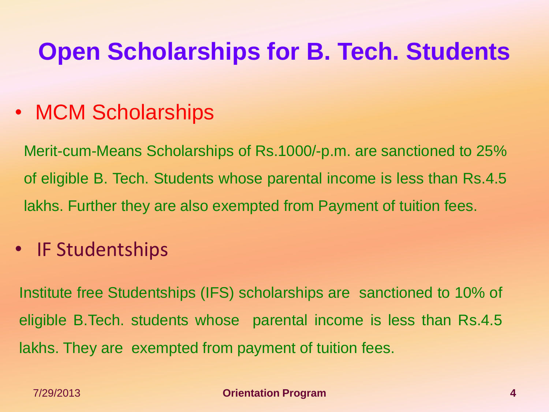## **Open Scholarships for B. Tech. Students**

#### • MCM Scholarships

Merit-cum-Means Scholarships of Rs.1000/-p.m. are sanctioned to 25% of eligible B. Tech. Students whose parental income is less than Rs.4.5 lakhs. Further they are also exempted from Payment of tuition fees.

#### • IF Studentships

Institute free Studentships (IFS) scholarships are sanctioned to 10% of eligible B.Tech. students whose parental income is less than Rs.4.5 lakhs. They are exempted from payment of tuition fees.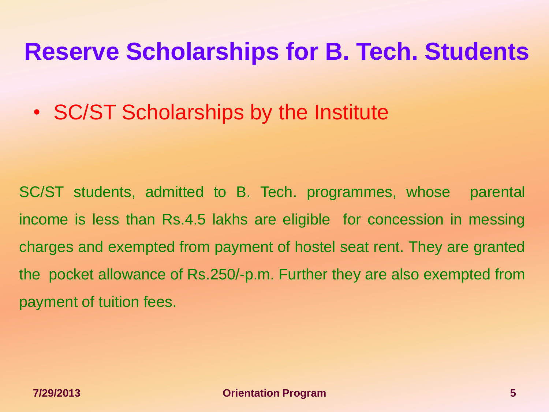### **Reserve Scholarships for B. Tech. Students**

• SC/ST Scholarships by the Institute

SC/ST students, admitted to B. Tech. programmes, whose parental income is less than Rs.4.5 lakhs are eligible for concession in messing charges and exempted from payment of hostel seat rent. They are granted the pocket allowance of Rs.250/-p.m. Further they are also exempted from payment of tuition fees.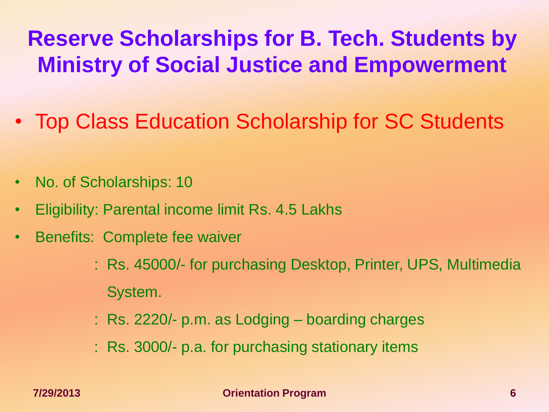## **Reserve Scholarships for B. Tech. Students by Ministry of Social Justice and Empowerment**

- Top Class Education Scholarship for SC Students
- No. of Scholarships: 10
- Eligibility: Parental income limit Rs. 4.5 Lakhs
- Benefits: Complete fee waiver
	- : Rs. 45000/- for purchasing Desktop, Printer, UPS, Multimedia System.
	- : Rs. 2220/- p.m. as Lodging boarding charges
	- : Rs. 3000/- p.a. for purchasing stationary items

**7/29/2013 Orientation Program 6**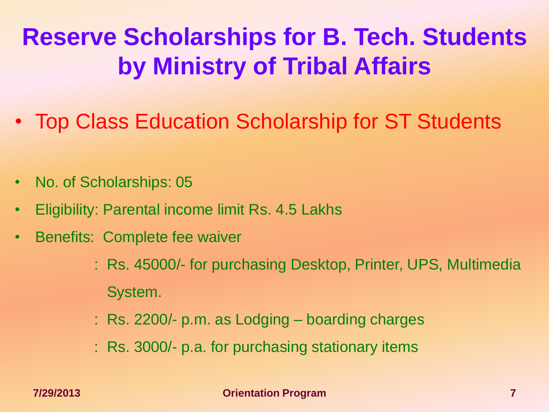# **Reserve Scholarships for B. Tech. Students by Ministry of Tribal Affairs**

- Top Class Education Scholarship for ST Students
- No. of Scholarships: 05
- Eligibility: Parental income limit Rs. 4.5 Lakhs
- Benefits: Complete fee waiver
	- : Rs. 45000/- for purchasing Desktop, Printer, UPS, Multimedia System.
	- : Rs. 2200/- p.m. as Lodging boarding charges
	- : Rs. 3000/- p.a. for purchasing stationary items

**7/29/2013 Orientation Program 7**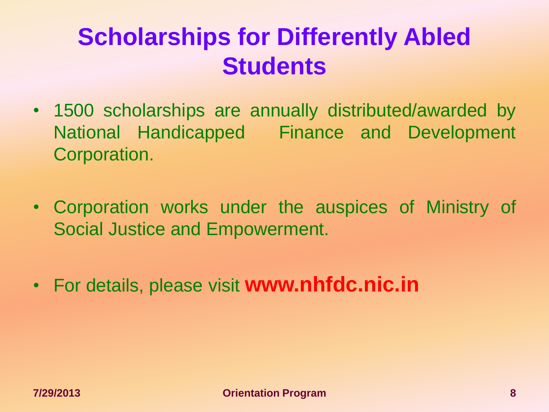## **Scholarships for Differently Abled Students**

- 1500 scholarships are annually distributed/awarded by National Handicapped Finance and Development Corporation.
- Corporation works under the auspices of Ministry of Social Justice and Empowerment.
- For details, please visit **www.nhfdc.nic.in**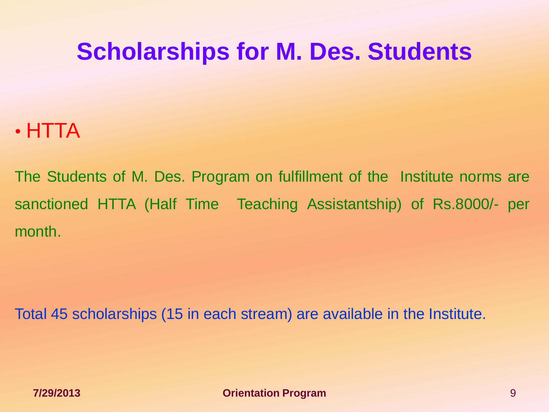## **Scholarships for M. Des. Students**

#### • HTTA

The Students of M. Des. Program on fulfillment of the Institute norms are sanctioned HTTA (Half Time Teaching Assistantship) of Rs.8000/- per month.

Total 45 scholarships (15 in each stream) are available in the Institute.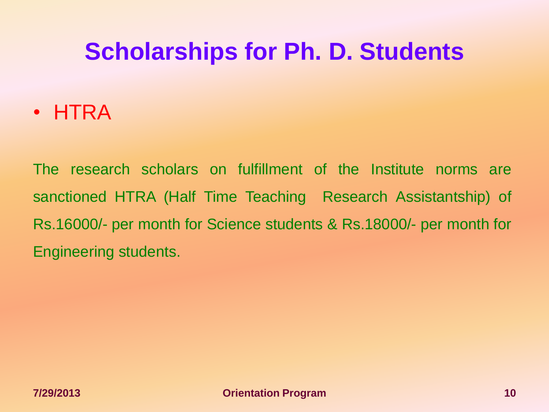## **Scholarships for Ph. D. Students**

#### • HTRA

The research scholars on fulfillment of the Institute norms are sanctioned HTRA (Half Time Teaching Research Assistantship) of Rs.16000/- per month for Science students & Rs.18000/- per month for Engineering students.